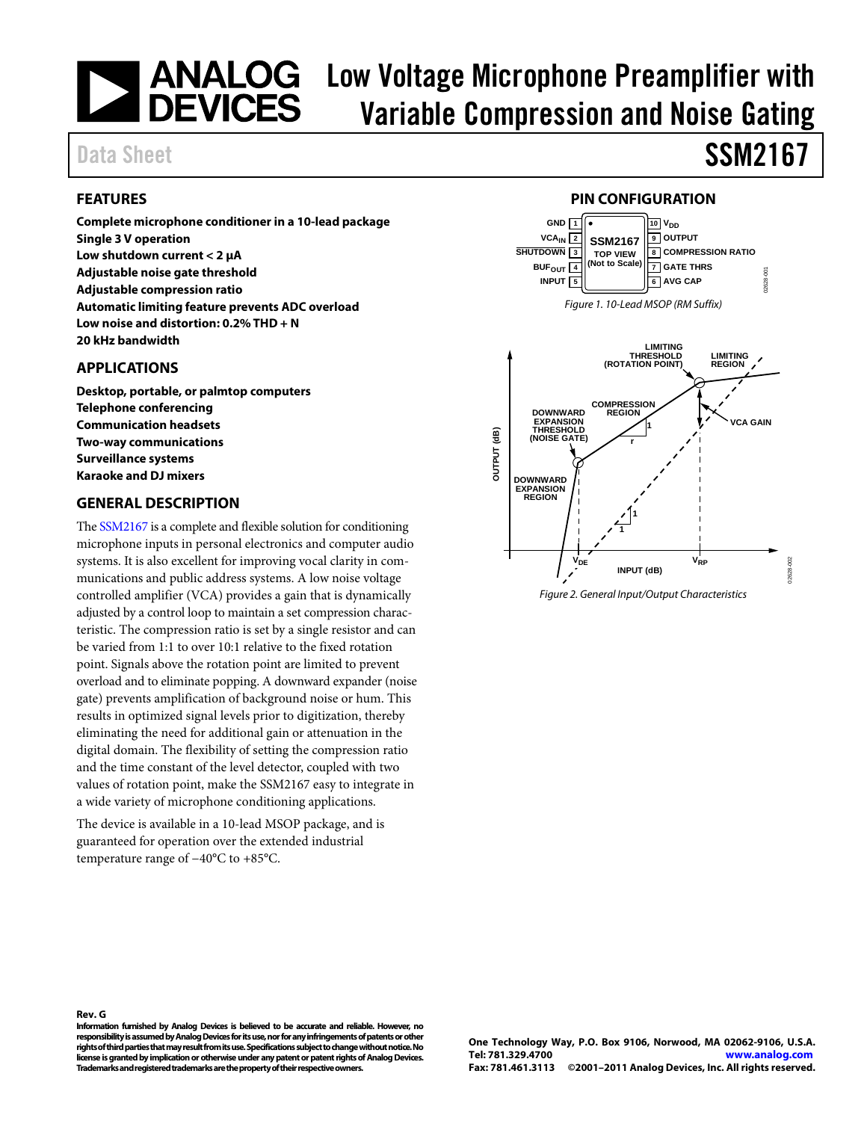# **ANALOG** Low Voltage Microphone Preamplifier with<br>DEVICES Variahle Compression and Noise Cating Variable Compression and Noise Gating

### Data Sheet SSM2167

### <span id="page-0-0"></span>**FEATURES**

**Complete microphone conditioner in a 10-lead package Single 3 V operation Low shutdown current < 2 µA Adjustable noise gate threshold Adjustable compression ratio Automatic limiting feature prevents ADC overload Low noise and distortion: 0.2% THD + N 20 kHz bandwidth**

#### <span id="page-0-1"></span>**APPLICATIONS**

**Desktop, portable, or palmtop computers Telephone conferencing Communication headsets Two-way communications Surveillance systems Karaoke and DJ mixers**

#### <span id="page-0-2"></span>**GENERAL DESCRIPTION**

Th[e SSM2167](http://www.analog.com/SSM2167) is a complete and flexible solution for conditioning microphone inputs in personal electronics and computer audio systems. It is also excellent for improving vocal clarity in communications and public address systems. A low noise voltage controlled amplifier (VCA) provides a gain that is dynamically adjusted by a control loop to maintain a set compression characteristic. The compression ratio is set by a single resistor and can be varied from 1:1 to over 10:1 relative to the fixed rotation point. Signals above the rotation point are limited to prevent overload and to eliminate popping. A downward expander (noise gate) prevents amplification of background noise or hum. This results in optimized signal levels prior to digitization, thereby eliminating the need for additional gain or attenuation in the digital domain. The flexibility of setting the compression ratio and the time constant of the level detector, coupled with two values of rotation point, make the SSM2167 easy to integrate in a wide variety of microphone conditioning applications.

The device is available in a 10-lead MSOP package, and is guaranteed for operation over the extended industrial temperature range of −40°C to +85°C.



<span id="page-0-3"></span>

<span id="page-0-4"></span>*Figure 2. General Input/Output Characteristics*

**Rev. G Information furnished by Analog Devices is believed to be accurate and reliable. However, no responsibility is assumed by Analog Devices for its use, nor for any infringements of patents or other rights of third parties that may result from its use. Specifications subject to change without notice. No license is granted by implication or otherwise under any patent or patent rights of Analog Devices. Trademarks and registered trademarks are the property of their respective owners.**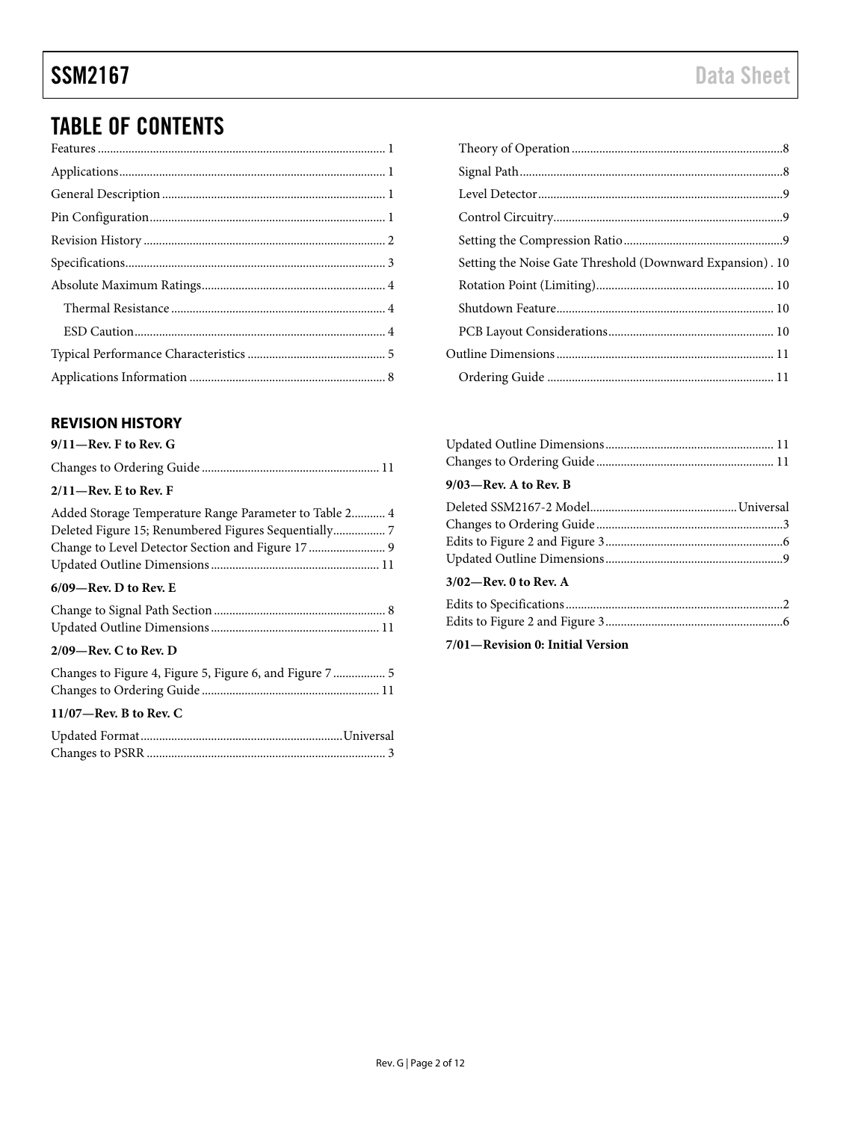## TABLE OF CONTENTS

### <span id="page-1-0"></span>**REVISION HISTORY**

### **9/11—Rev. F to Rev. G**

| $2/11$ —Rev. E to Rev. F                                                                                  |
|-----------------------------------------------------------------------------------------------------------|
| Deleted Figure 15; Renumbered Figures Sequentially 7<br>Change to Level Detector Section and Figure 17  9 |
| $6/09$ —Rev. D to Rev. E                                                                                  |
|                                                                                                           |
| $2/09$ —Rev. C to Rev. D                                                                                  |
| Changes to Figure 4, Figure 5, Figure 6, and Figure 7  5                                                  |
| $11/07$ —Rev. B to Rev. C                                                                                 |
|                                                                                                           |

| Setting the Noise Gate Threshold (Downward Expansion). 10 |  |
|-----------------------------------------------------------|--|
|                                                           |  |
|                                                           |  |
|                                                           |  |
|                                                           |  |
|                                                           |  |

| $9/03$ —Rev. A to Rev. B |  |
|--------------------------|--|
|                          |  |
|                          |  |
|                          |  |
|                          |  |
| $3/02$ —Rev. 0 to Rev. A |  |

**7/01—Revision 0: Initial Version**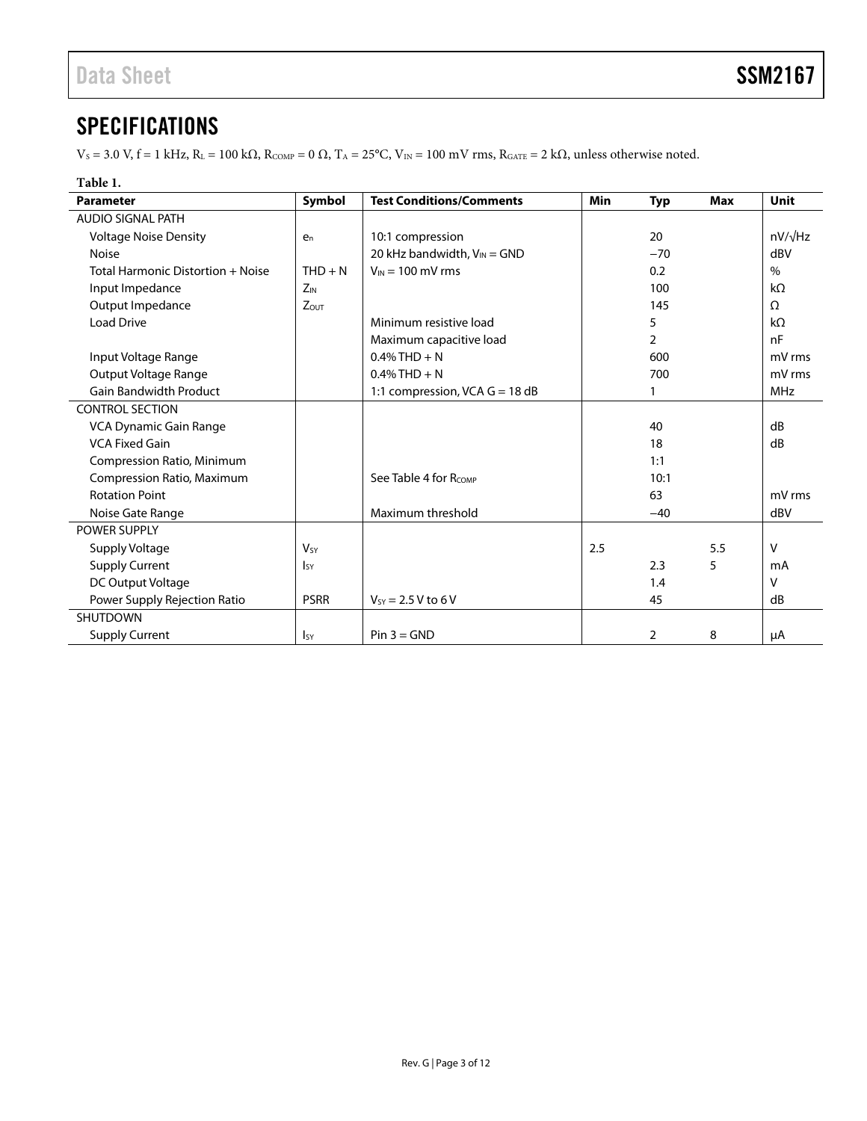### <span id="page-2-0"></span>**SPECIFICATIONS**

 $V_S = 3.0$  V, f = 1 kHz,  $R_L = 100$  k $\Omega$ ,  $R_{COMP} = 0$   $\Omega$ ,  $T_A = 25^{\circ}$ C,  $V_{IN} = 100$  mV rms,  $R_{GATE} = 2$  k $\Omega$ , unless otherwise noted.

### **Table 1.**

| <b>Parameter</b>                  | Symbol                 | <b>Test Conditions/Comments</b>   | <b>Min</b> | <b>Typ</b>     | <b>Max</b> | Unit           |
|-----------------------------------|------------------------|-----------------------------------|------------|----------------|------------|----------------|
| <b>AUDIO SIGNAL PATH</b>          |                        |                                   |            |                |            |                |
| <b>Voltage Noise Density</b>      | $e_n$                  | 10:1 compression                  |            | 20             |            | $nV/\sqrt{Hz}$ |
| <b>Noise</b>                      |                        | 20 kHz bandwidth, $V_{IN} = GND$  |            | $-70$          |            | dBV            |
| Total Harmonic Distortion + Noise | $THD + N$              | $V_{IN}$ = 100 mV rms             |            | 0.2            |            | $\%$           |
| Input Impedance                   | $Z_{IN}$               |                                   |            | 100            |            | $k\Omega$      |
| Output Impedance                  | $Z_{OUT}$              |                                   |            | 145            |            | $\Omega$       |
| <b>Load Drive</b>                 |                        | Minimum resistive load            |            | 5              |            | $k\Omega$      |
|                                   |                        | Maximum capacitive load           |            | $\overline{2}$ |            | nF             |
| Input Voltage Range               |                        | $0.4\%$ THD + N                   |            | 600            |            | mV rms         |
| Output Voltage Range              |                        | $0.4\%$ THD + N                   |            | 700            |            | mV rms         |
| <b>Gain Bandwidth Product</b>     |                        | 1:1 compression, VCA $G = 18$ dB  |            |                |            | <b>MHz</b>     |
| <b>CONTROL SECTION</b>            |                        |                                   |            |                |            |                |
| VCA Dynamic Gain Range            |                        |                                   |            | 40             |            | dB             |
| <b>VCA Fixed Gain</b>             |                        |                                   |            | 18             |            | dB             |
| Compression Ratio, Minimum        |                        |                                   |            | 1:1            |            |                |
| Compression Ratio, Maximum        |                        | See Table 4 for R <sub>COMP</sub> |            | 10:1           |            |                |
| <b>Rotation Point</b>             |                        |                                   |            | 63             |            | mV rms         |
| Noise Gate Range                  |                        | Maximum threshold                 |            | $-40$          |            | dBV            |
| <b>POWER SUPPLY</b>               |                        |                                   |            |                |            |                |
| Supply Voltage                    | <b>V<sub>SY</sub></b>  |                                   | 2.5        |                | 5.5        | $\vee$         |
| <b>Supply Current</b>             | <b>I</b> <sub>SY</sub> |                                   |            | 2.3            | 5          | mA             |
| DC Output Voltage                 |                        |                                   |            | 1.4            |            | v              |
| Power Supply Rejection Ratio      | <b>PSRR</b>            | $V_{SY}$ = 2.5 V to 6 V           |            | 45             |            | dB             |
| <b>SHUTDOWN</b>                   |                        |                                   |            |                |            |                |
| <b>Supply Current</b>             | <b>I</b> sy            | $Pin 3 = GND$                     |            | $\overline{2}$ | 8          | μA             |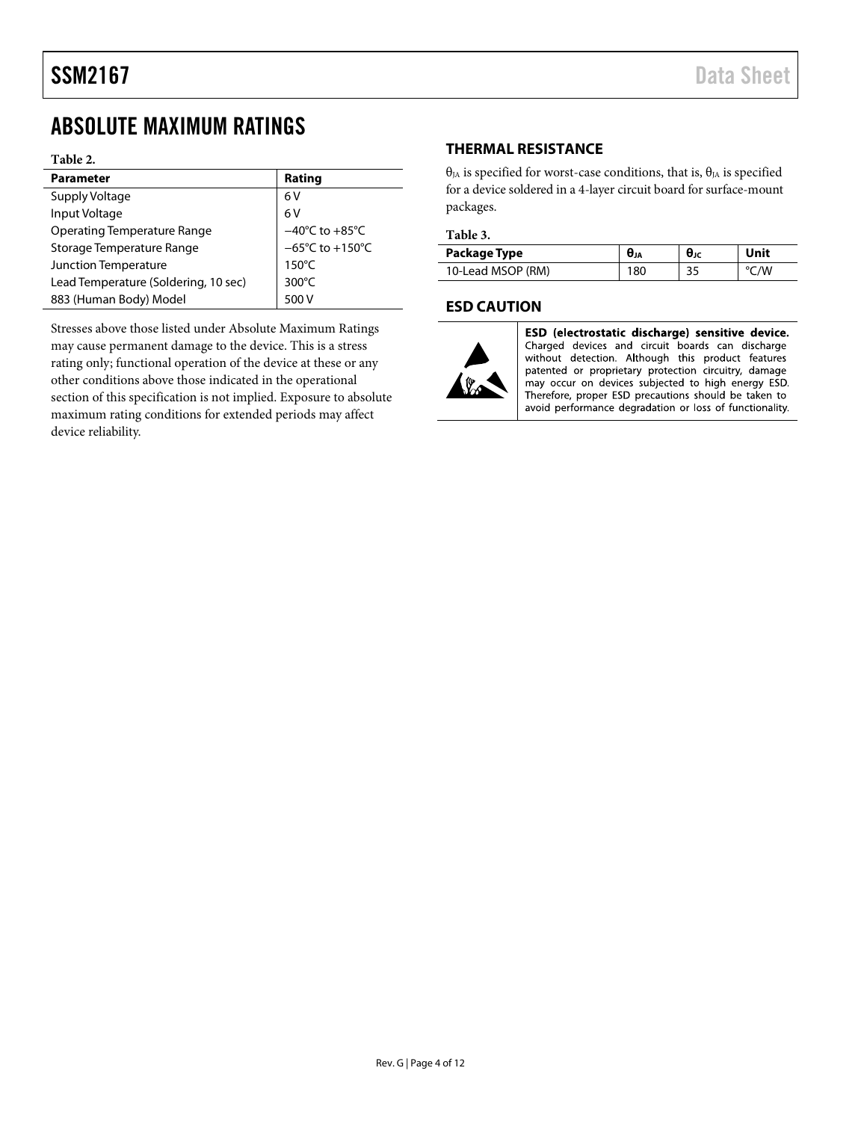### <span id="page-3-0"></span>ABSOLUTE MAXIMUM RATINGS

#### **Table 2.**

| <b>Parameter</b>                     | Rating                                                          |
|--------------------------------------|-----------------------------------------------------------------|
| Supply Voltage                       | 6 V                                                             |
| Input Voltage                        | 6V                                                              |
| <b>Operating Temperature Range</b>   |                                                                 |
| Storage Temperature Range            | $-40^{\circ}$ C to $+85^{\circ}$ C<br>-65°C to $+150^{\circ}$ C |
| Junction Temperature                 | $150^{\circ}$ C                                                 |
| Lead Temperature (Soldering, 10 sec) | 300°C                                                           |
| 883 (Human Body) Model               | 500 V                                                           |

Stresses above those listed under Absolute Maximum Ratings may cause permanent damage to the device. This is a stress rating only; functional operation of the device at these or any other conditions above those indicated in the operational section of this specification is not implied. Exposure to absolute maximum rating conditions for extended periods may affect device reliability.

#### <span id="page-3-1"></span>**THERMAL RESISTANCE**

θ<sub>JA</sub> is specified for worst-case conditions, that is, θ<sub>JA</sub> is specified for a device soldered in a 4-layer circuit board for surface-mount packages.

#### **Table 3.**

| Package Type      | σja | θιс | Unit |
|-------------------|-----|-----|------|
| 10-Lead MSOP (RM) | 180 | 35  | /W   |

#### <span id="page-3-2"></span>**ESD CAUTION**



ESD (electrostatic discharge) sensitive device. Charged devices and circuit boards can discharge without detection. Although this product features interest and proprietary protection circuitry, damage<br>may occur on devices subjected to high energy ESD. Therefore, proper ESD precautions should be taken to avoid performance degradation or loss of functionality.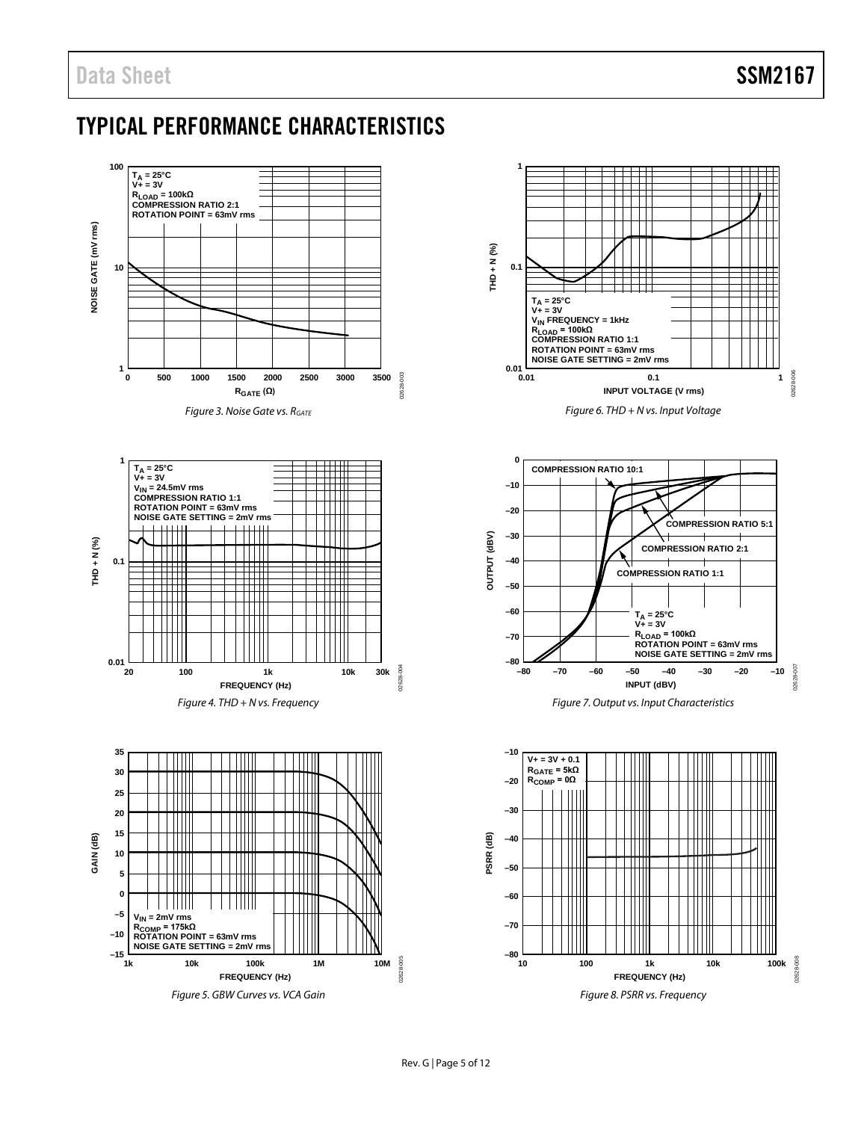### <span id="page-4-0"></span>TYPICAL PERFORMANCE CHARACTERISTICS





*Figure 6. THD + N vs. Input Voltage*



*Figure 7. Output vs. Input Characteristics*

<span id="page-4-1"></span>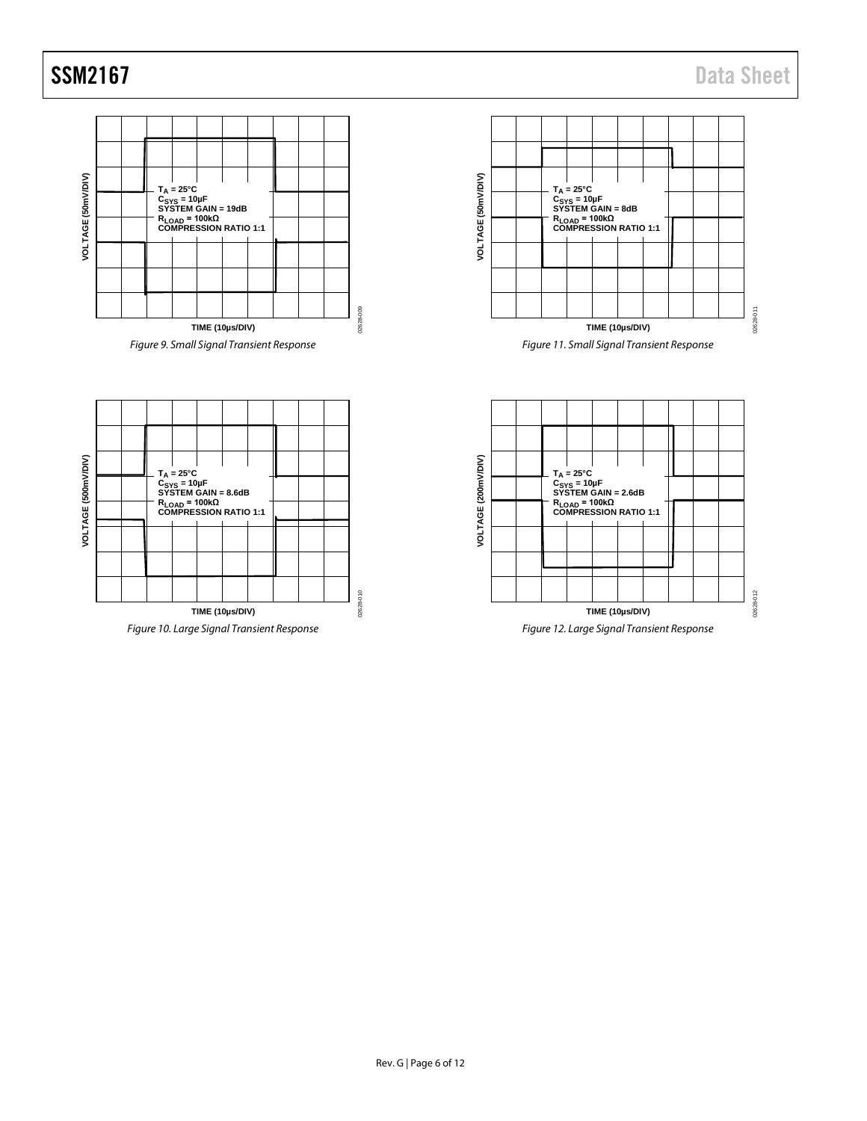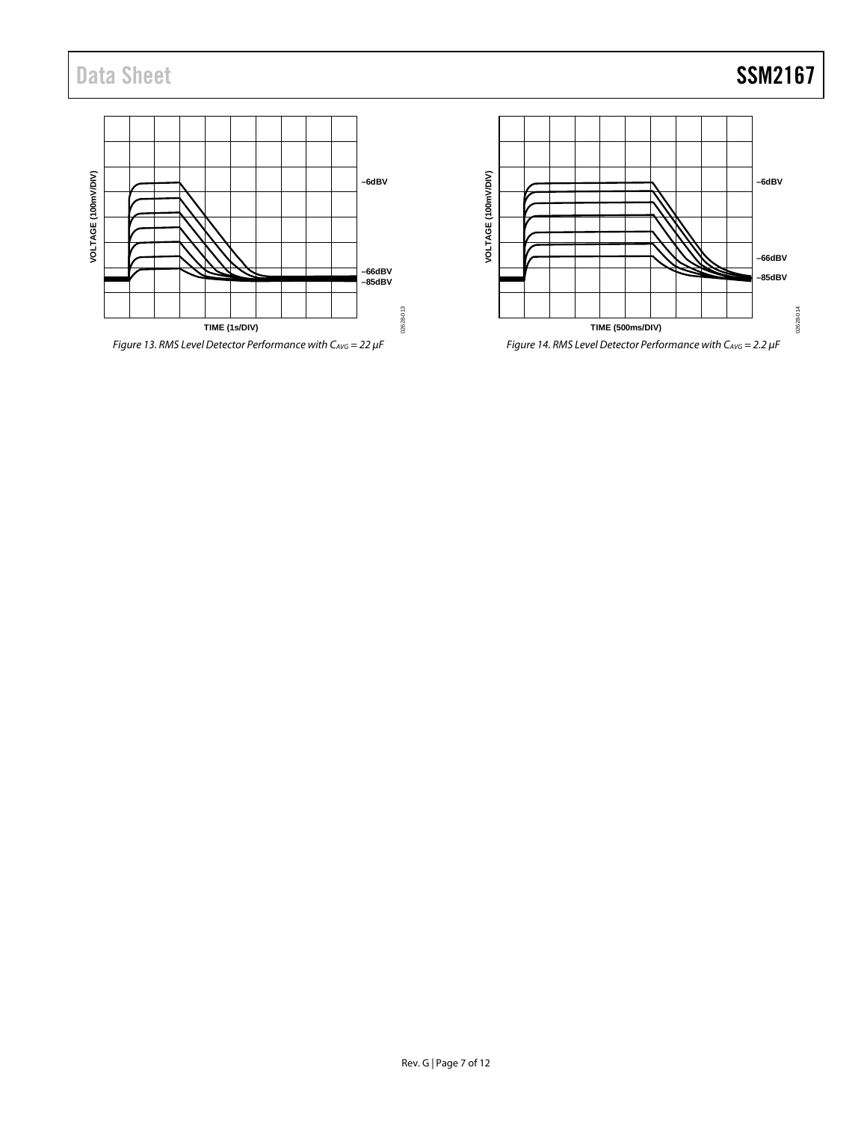## Data Sheet SSM2167

VOLTAGE (100mV/DIV) **VOLTAGE (100mV/DIV) –6dBV –66dBV –85dBV** 02628-013 02628-013 **TIME (1s/DIV)**

<span id="page-6-1"></span>

VOLTAGE (100mWDIV) **VOLTAGE (100mV/DIV) –6dBV –66dBV –85dBV** 02628-014 02628-014 **TIME (500ms/DIV)**

<span id="page-6-0"></span>*Figure 14. RMS Level Detector Performance with CAVG = 2.2 µF*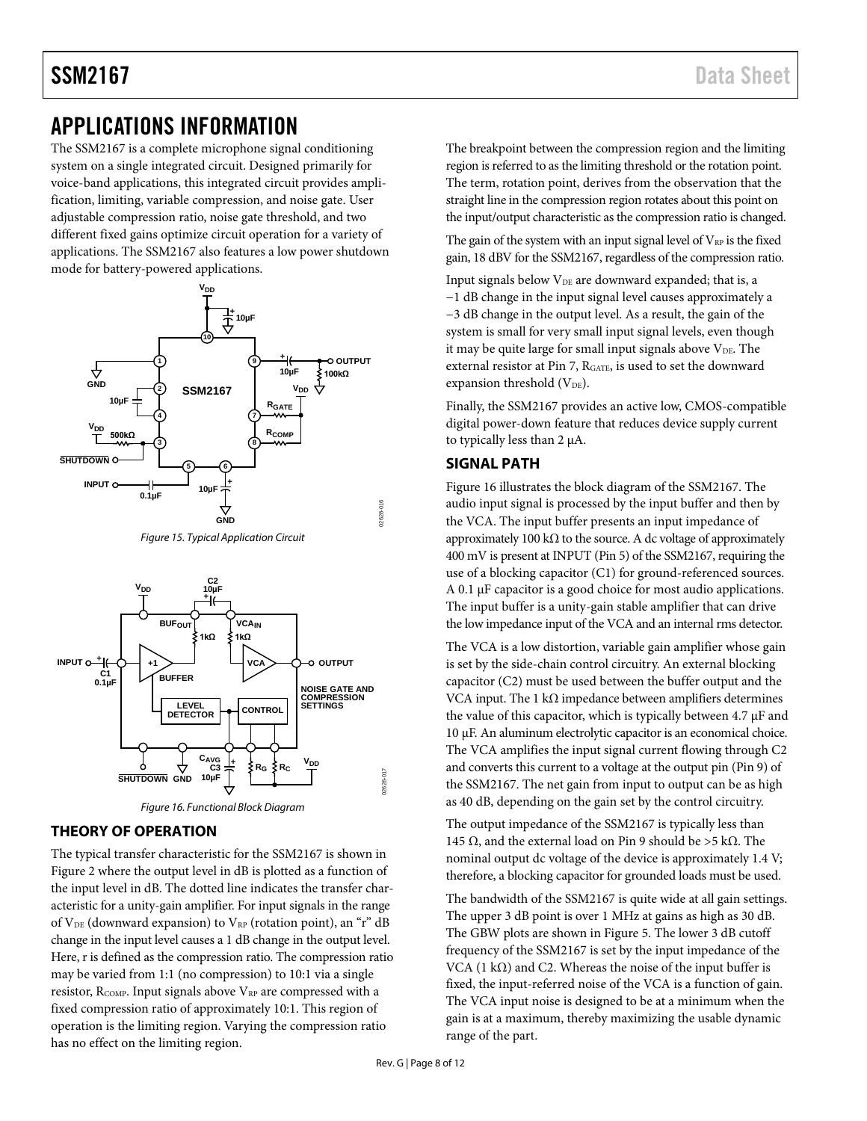### <span id="page-7-0"></span>APPLICATIONS INFORMATION

The SSM2167 is a complete microphone signal conditioning system on a single integrated circuit. Designed primarily for voice-band applications, this integrated circuit provides amplification, limiting, variable compression, and noise gate. User adjustable compression ratio, noise gate threshold, and two different fixed gains optimize circuit operation for a variety of applications. The SSM2167 also features a low power shutdown mode for battery-powered applications.









#### <span id="page-7-3"></span><span id="page-7-1"></span>**THEORY OF OPERATION**

The typical transfer characteristic for the SSM2167 is shown in [Figure 2](#page-0-4) where the output level in dB is plotted as a function of the input level in dB. The dotted line indicates the transfer characteristic for a unity-gain amplifier. For input signals in the range of  $V_{DE}$  (downward expansion) to  $V_{RP}$  (rotation point), an "r" dB change in the input level causes a 1 dB change in the output level. Here, r is defined as the compression ratio. The compression ratio may be varied from 1:1 (no compression) to 10:1 via a single resistor,  $R_{\text{COMP}}$ . Input signals above  $V_{RP}$  are compressed with a fixed compression ratio of approximately 10:1. This region of operation is the limiting region. Varying the compression ratio has no effect on the limiting region.

The breakpoint between the compression region and the limiting region is referred to as the limiting threshold or the rotation point. The term, rotation point, derives from the observation that the straight line in the compression region rotates about this point on the input/output characteristic as the compression ratio is changed.

The gain of the system with an input signal level of  $V_{RP}$  is the fixed gain, 18 dBV for the SSM2167, regardless of the compression ratio.

Input signals below V<sub>DE</sub> are downward expanded; that is, a −1 dB change in the input signal level causes approximately a −3 dB change in the output level. As a result, the gain of the system is small for very small input signal levels, even though it may be quite large for small input signals above  $V_{DE}$ . The external resistor at Pin 7, RGATE, is used to set the downward expansion threshold  $(V_{DE})$ .

Finally, the SSM2167 provides an active low, CMOS-compatible digital power-down feature that reduces device supply current to typically less than 2 µA.

### <span id="page-7-2"></span>**SIGNAL PATH**

[Figure 16](#page-7-3) illustrates the block diagram of the SSM2167. The audio input signal is processed by the input buffer and then by the VCA. The input buffer presents an input impedance of approximately 100 k $\Omega$  to the source. A dc voltage of approximately 400 mV is present at INPUT (Pin 5) of the SSM2167, requiring the use of a blocking capacitor (C1) for ground-referenced sources. A 0.1 µF capacitor is a good choice for most audio applications. The input buffer is a unity-gain stable amplifier that can drive the low impedance input of the VCA and an internal rms detector.

The VCA is a low distortion, variable gain amplifier whose gain is set by the side-chain control circuitry. An external blocking capacitor (C2) must be used between the buffer output and the VCA input. The 1 k $\Omega$  impedance between amplifiers determines the value of this capacitor, which is typically between 4.7  $\mu$ F and 10 µF. An aluminum electrolytic capacitor is an economical choice. The VCA amplifies the input signal current flowing through C2 and converts this current to a voltage at the output pin (Pin 9) of the SSM2167. The net gain from input to output can be as high as 40 dB, depending on the gain set by the control circuitry.

The output impedance of the SSM2167 is typically less than 145 Ω, and the external load on Pin 9 should be >5 kΩ. The nominal output dc voltage of the device is approximately 1.4 V; therefore, a blocking capacitor for grounded loads must be used.

The bandwidth of the SSM2167 is quite wide at all gain settings. The upper 3 dB point is over 1 MHz at gains as high as 30 dB. The GBW plots are shown in [Figure 5.](#page-4-1) The lower 3 dB cutoff frequency of the SSM2167 is set by the input impedance of the VCA (1 k $\Omega$ ) and C2. Whereas the noise of the input buffer is fixed, the input-referred noise of the VCA is a function of gain. The VCA input noise is designed to be at a minimum when the gain is at a maximum, thereby maximizing the usable dynamic range of the part.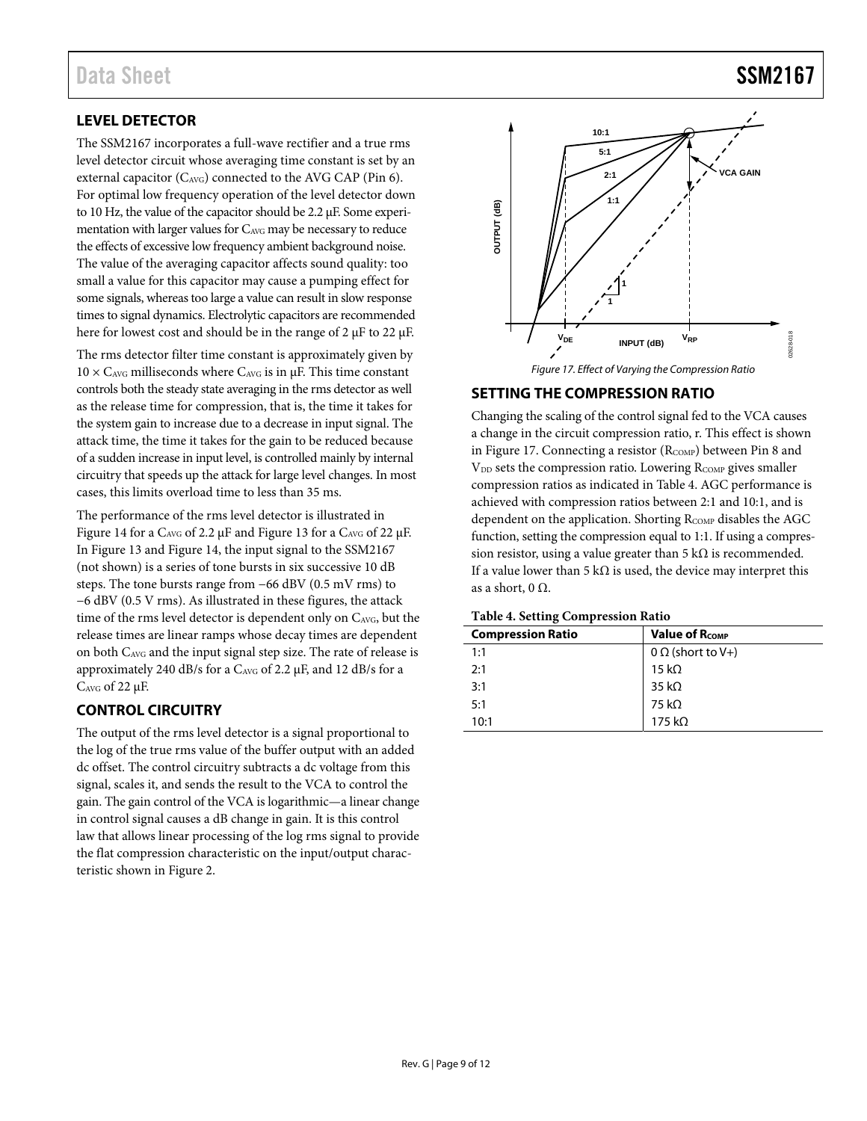### Data Sheet SSM2167

### <span id="page-8-0"></span>**LEVEL DETECTOR**

The SSM2167 incorporates a full-wave rectifier and a true rms level detector circuit whose averaging time constant is set by an external capacitor (C<sub>AVG</sub>) connected to the AVG CAP (Pin 6). For optimal low frequency operation of the level detector down to 10 Hz, the value of the capacitor should be 2.2 μF. Some experimentation with larger values for CAVG may be necessary to reduce the effects of excessive low frequency ambient background noise. The value of the averaging capacitor affects sound quality: too small a value for this capacitor may cause a pumping effect for some signals, whereas too large a value can result in slow response times to signal dynamics. Electrolytic capacitors are recommended here for lowest cost and should be in the range of 2 μF to 22 μF.

The rms detector filter time constant is approximately given by  $10 \times C_{AVG}$  milliseconds where  $C_{AVG}$  is in  $\mu$ F. This time constant controls both the steady state averaging in the rms detector as well as the release time for compression, that is, the time it takes for the system gain to increase due to a decrease in input signal. The attack time, the time it takes for the gain to be reduced because of a sudden increase in input level, is controlled mainly by internal circuitry that speeds up the attack for large level changes. In most cases, this limits overload time to less than 35 ms.

The performance of the rms level detector is illustrated in [Figure 14 f](#page-6-0)or a CAVG of 2.2 μF an[d Figure 13 f](#page-6-1)or a CAVG of 22 μF. I[n Figure 13](#page-6-1) an[d Figure 14,](#page-6-0) the input signal to the SSM2167 (not shown) is a series of tone bursts in six successive 10 dB steps. The tone bursts range from −66 dBV (0.5 mV rms) to −6 dBV (0.5 V rms). As illustrated in these figures, the attack time of the rms level detector is dependent only on CAVG, but the release times are linear ramps whose decay times are dependent on both CAVG and the input signal step size. The rate of release is approximately 240 dB/s for a CAVG of 2.2 μF, and 12 dB/s for a CAVG of 22 μF.

### <span id="page-8-1"></span>**CONTROL CIRCUITRY**

The output of the rms level detector is a signal proportional to the log of the true rms value of the buffer output with an added dc offset. The control circuitry subtracts a dc voltage from this signal, scales it, and sends the result to the VCA to control the gain. The gain control of the VCA is logarithmic—a linear change in control signal causes a dB change in gain. It is this control law that allows linear processing of the log rms signal to provide the flat compression characteristic on the input/output characteristic shown in [Figure 2.](#page-0-4)



### <span id="page-8-4"></span><span id="page-8-2"></span>**SETTING THE COMPRESSION RATIO**

Changing the scaling of the control signal fed to the VCA causes a change in the circuit compression ratio, r. This effect is shown in [Figure 17.](#page-8-4) Connecting a resistor ( $R_{COMP}$ ) between Pin 8 and V<sub>DD</sub> sets the compression ratio. Lowering R<sub>COMP</sub> gives smaller compression ratios as indicated i[n Table 4.](#page-8-3) AGC performance is achieved with compression ratios between 2:1 and 10:1, and is dependent on the application. Shorting R<sub>COMP</sub> disables the AGC function, setting the compression equal to 1:1. If using a compression resistor, using a value greater than 5 k $\Omega$  is recommended. If a value lower than 5 k $\Omega$  is used, the device may interpret this as a short, 0  $\Omega$ .

<span id="page-8-3"></span>

| <b>Table 4. Setting Compression Ratio</b> |  |  |
|-------------------------------------------|--|--|
|-------------------------------------------|--|--|

| <b>Compression Ratio</b> | <b>Value of RCOMP</b>    |
|--------------------------|--------------------------|
| 1:1                      | $0 \Omega$ (short to V+) |
| 2:1                      | 15 k $\Omega$            |
| 3:1                      | 35 k $\Omega$            |
| 5:1                      | 75 kΩ                    |
| 10:1                     | 175 k $\Omega$           |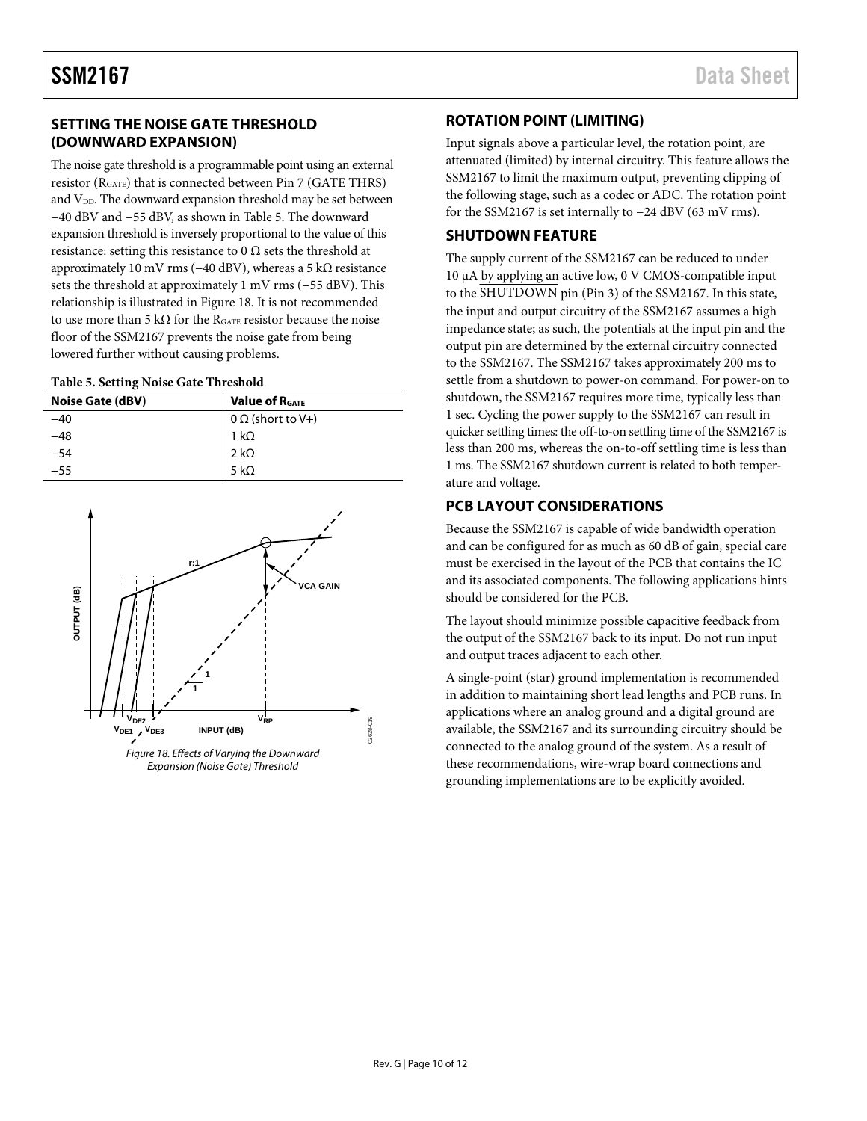### <span id="page-9-0"></span>**SETTING THE NOISE GATE THRESHOLD (DOWNWARD EXPANSION)**

The noise gate threshold is a programmable point using an external resistor (RGATE) that is connected between Pin 7 (GATE THRS) and  $V_{DD}$ . The downward expansion threshold may be set between −40 dBV and −55 dBV, as shown in [Table 5.](#page-9-4) The downward expansion threshold is inversely proportional to the value of this resistance: setting this resistance to 0  $\Omega$  sets the threshold at approximately 10 mV rms (−40 dBV), whereas a 5 kΩ resistance sets the threshold at approximately 1 mV rms (−55 dBV). This relationship is illustrated i[n Figure 18.](#page-9-5) It is not recommended to use more than 5 k $\Omega$  for the RGATE resistor because the noise floor of the SSM2167 prevents the noise gate from being lowered further without causing problems.

#### <span id="page-9-4"></span>**Table 5. Setting Noise Gate Threshold**

| <b>Noise Gate (dBV)</b> | <b>Value of RGATE</b>    |
|-------------------------|--------------------------|
| -40                     | $0 \Omega$ (short to V+) |
| -48                     | 1 k $\Omega$             |
| $-54$                   | 2 k $\Omega$             |
| $-55$                   | 5 k $\Omega$             |



<span id="page-9-5"></span>Expansion (Noise Gate) Threshold

### <span id="page-9-1"></span>**ROTATION POINT (LIMITING)**

Input signals above a particular level, the rotation point, are attenuated (limited) by internal circuitry. This feature allows the SSM2167 to limit the maximum output, preventing clipping of the following stage, such as a codec or ADC. The rotation point for the SSM2167 is set internally to −24 dBV (63 mV rms).

### <span id="page-9-2"></span>**SHUTDOWN FEATURE**

The supply current of the SSM2167 can be reduced to under 10 μA by applying an active low, 0 V CMOS-compatible input to the SHUTDOWN pin (Pin 3) of the SSM2167. In this state, the input and output circuitry of the SSM2167 assumes a high impedance state; as such, the potentials at the input pin and the output pin are determined by the external circuitry connected to the SSM2167. The SSM2167 takes approximately 200 ms to settle from a shutdown to power-on command. For power-on to shutdown, the SSM2167 requires more time, typically less than 1 sec. Cycling the power supply to the SSM2167 can result in quicker settling times: the off-to-on settling time of the SSM2167 is less than 200 ms, whereas the on-to-off settling time is less than 1 ms. The SSM2167 shutdown current is related to both temperature and voltage.

### <span id="page-9-3"></span>**PCB LAYOUT CONSIDERATIONS**

Because the SSM2167 is capable of wide bandwidth operation and can be configured for as much as 60 dB of gain, special care must be exercised in the layout of the PCB that contains the IC and its associated components. The following applications hints should be considered for the PCB.

The layout should minimize possible capacitive feedback from the output of the SSM2167 back to its input. Do not run input and output traces adjacent to each other.

A single-point (star) ground implementation is recommended in addition to maintaining short lead lengths and PCB runs. In applications where an analog ground and a digital ground are available, the SSM2167 and its surrounding circuitry should be connected to the analog ground of the system. As a result of these recommendations, wire-wrap board connections and grounding implementations are to be explicitly avoided.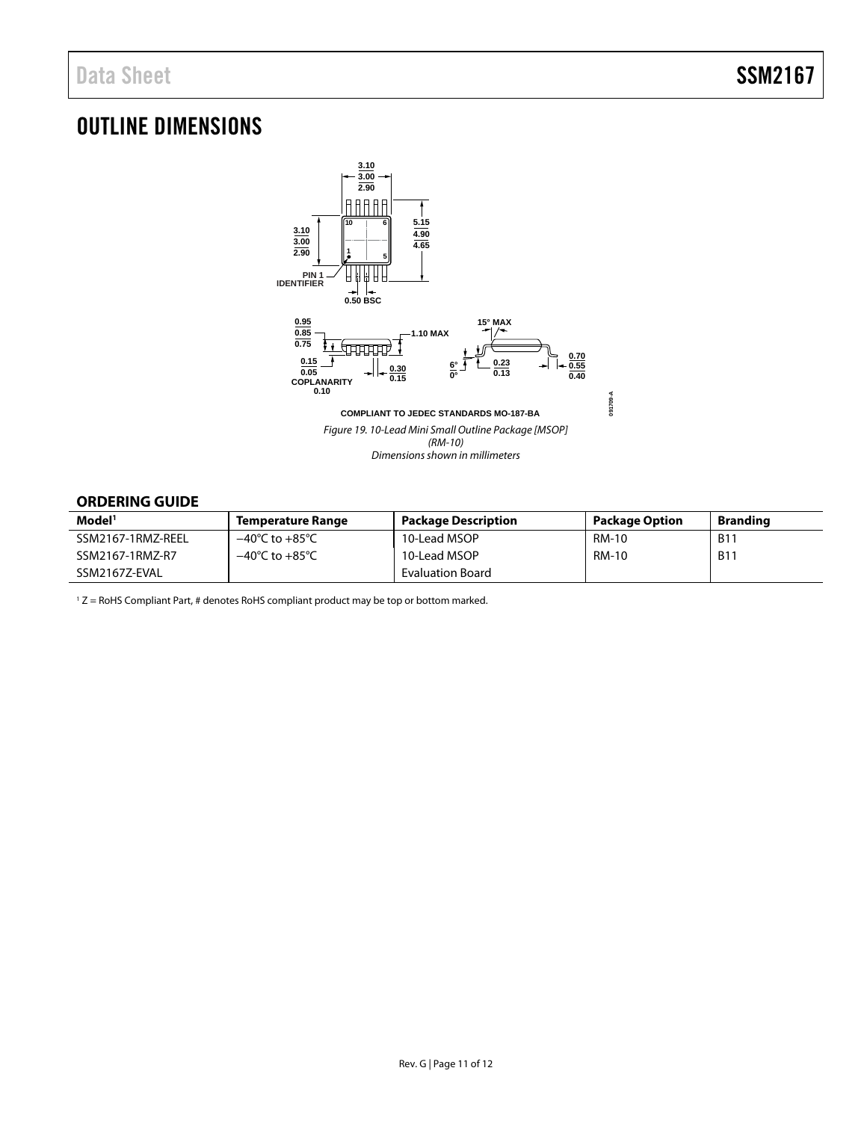### <span id="page-10-0"></span>OUTLINE DIMENSIONS



### <span id="page-10-1"></span>**ORDERING GUIDE**

| Model <sup>1</sup> | Temperature Range                  | <b>Package Description</b> | <b>Package Option</b> | <b>Branding</b> |
|--------------------|------------------------------------|----------------------------|-----------------------|-----------------|
| SSM2167-1RMZ-REEL  | $-40^{\circ}$ C to $+85^{\circ}$ C | 10-Lead MSOP               | <b>RM-10</b>          | <b>B11</b>      |
| SSM2167-1RMZ-R7    | $-40^{\circ}$ C to $+85^{\circ}$ C | 10-Lead MSOP               | <b>RM-10</b>          | <b>B11</b>      |
| SSM2167Z-EVAL      |                                    | Evaluation Board           |                       |                 |

1 Z = RoHS Compliant Part, # denotes RoHS compliant product may be top or bottom marked.